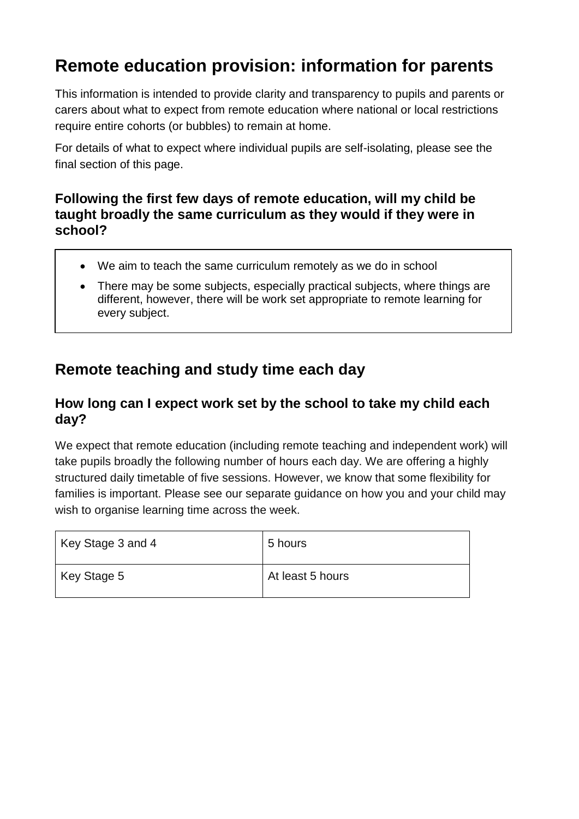# **Remote education provision: information for parents**

This information is intended to provide clarity and transparency to pupils and parents or carers about what to expect from remote education where national or local restrictions require entire cohorts (or bubbles) to remain at home.

For details of what to expect where individual pupils are self-isolating, please see the final section of this page.

### **Following the first few days of remote education, will my child be taught broadly the same curriculum as they would if they were in school?**

- We aim to teach the same curriculum remotely as we do in school
- There may be some subjects, especially practical subjects, where things are different, however, there will be work set appropriate to remote learning for every subject.

### **Remote teaching and study time each day**

### **How long can I expect work set by the school to take my child each day?**

We expect that remote education (including remote teaching and independent work) will take pupils broadly the following number of hours each day. We are offering a highly structured daily timetable of five sessions. However, we know that some flexibility for families is important. Please see our separate guidance on how you and your child may wish to organise learning time across the week.

| Key Stage 3 and 4 | 5 hours          |
|-------------------|------------------|
| Key Stage 5       | At least 5 hours |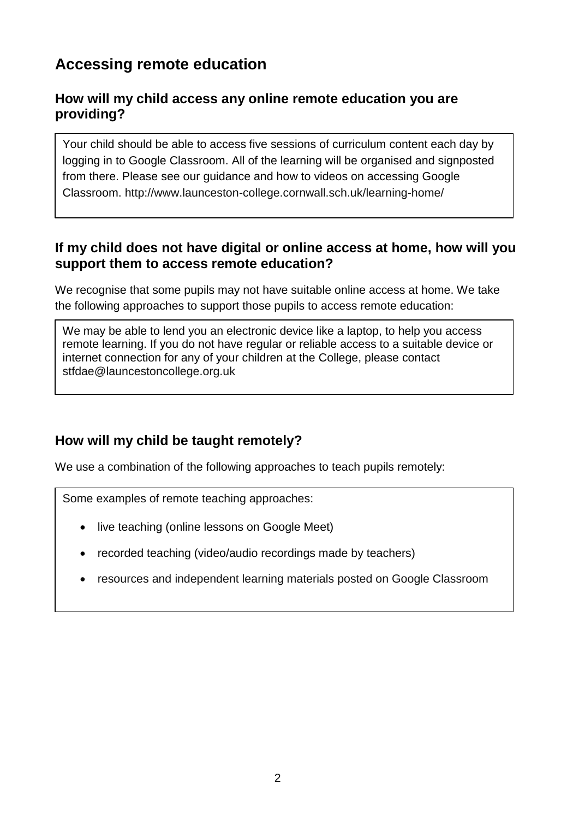### **Accessing remote education**

### **How will my child access any online remote education you are providing?**

Your child should be able to access five sessions of curriculum content each day by logging in to Google Classroom. All of the learning will be organised and signposted from there. Please see our guidance and how to videos on accessing Google Classroom.<http://www.launceston-college.cornwall.sch.uk/learning-home/>

### **If my child does not have digital or online access at home, how will you support them to access remote education?**

We recognise that some pupils may not have suitable online access at home. We take the following approaches to support those pupils to access remote education:

We may be able to lend you an electronic device like a laptop, to help you access remote learning. If you do not have regular or reliable access to a suitable device or internet connection for any of your children at the College, please contact [stfdae@launcestoncollege.org.uk](mailto:stfdae@launcestoncollege.org.uk)

### **How will my child be taught remotely?**

We use a combination of the following approaches to teach pupils remotely:

Some examples of remote teaching approaches:

- live teaching (online lessons on Google Meet)
- recorded teaching (video/audio recordings made by teachers)
- resources and independent learning materials posted on Google Classroom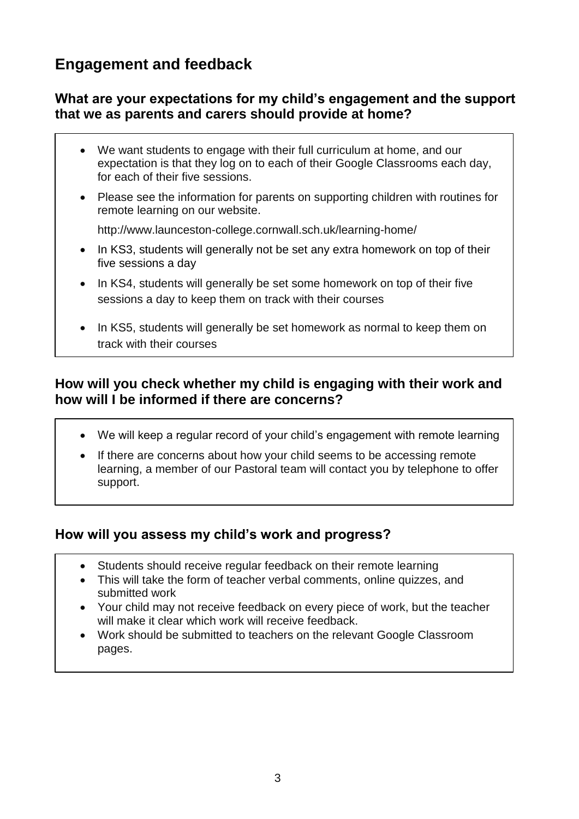### **Engagement and feedback**

### **What are your expectations for my child's engagement and the support that we as parents and carers should provide at home?**

- We want students to engage with their full curriculum at home, and our expectation is that they log on to each of their Google Classrooms each day, for each of their five sessions.
- Please see the information for parents on supporting children with routines for remote learning on our website.

<http://www.launceston-college.cornwall.sch.uk/learning-home/>

- In KS3, students will generally not be set any extra homework on top of their five sessions a day
- In KS4, students will generally be set some homework on top of their five sessions a day to keep them on track with their courses
- In KS5, students will generally be set homework as normal to keep them on track with their courses

### **How will you check whether my child is engaging with their work and how will I be informed if there are concerns?**

- We will keep a regular record of your child's engagement with remote learning
- If there are concerns about how your child seems to be accessing remote learning, a member of our Pastoral team will contact you by telephone to offer support.

### **How will you assess my child's work and progress?**

- Students should receive regular feedback on their remote learning
- This will take the form of teacher verbal comments, online quizzes, and submitted work
- Your child may not receive feedback on every piece of work, but the teacher will make it clear which work will receive feedback.
- Work should be submitted to teachers on the relevant Google Classroom pages.